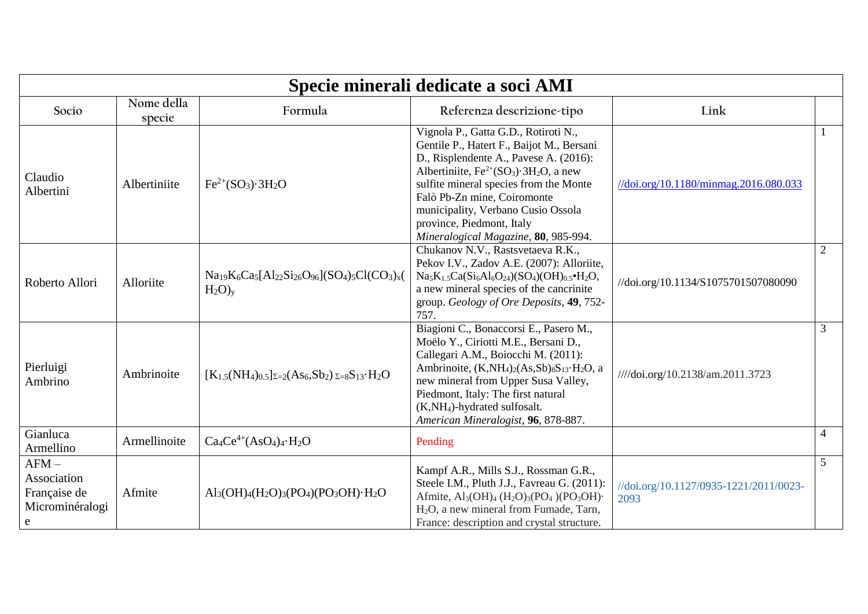| Specie minerali dedicate a soci AMI                            |                      |                                                                            |                                                                                                                                                                                                                                                                                                                                                                                                  |                                                           |                |  |
|----------------------------------------------------------------|----------------------|----------------------------------------------------------------------------|--------------------------------------------------------------------------------------------------------------------------------------------------------------------------------------------------------------------------------------------------------------------------------------------------------------------------------------------------------------------------------------------------|-----------------------------------------------------------|----------------|--|
| Socio                                                          | Nome della<br>specie | Formula                                                                    | Referenza descrizione-tipo                                                                                                                                                                                                                                                                                                                                                                       | Link                                                      |                |  |
| Claudio<br>Albertini                                           | Albertiniite         | $Fe^{2+}(SO_3) \cdot 3H_2O$                                                | Vignola P., Gatta G.D., Rotiroti N.,<br>Gentile P., Hatert F., Baijot M., Bersani<br>D., Risplendente A., Pavese A. (2016):<br>Albertiniite, $Fe^{2+}(SO_3) \cdot 3H_2O$ , a new<br>sulfite mineral species from the Monte<br>Falò Pb-Zn mine, Coiromonte<br>municipality, Verbano Cusio Ossola<br>province, Piedmont, Italy<br>Mineralogical Magazine, 80, 985-994.                             | $\frac{1}{\dot{\alpha}}$ .org/10.1180/minmag.2016.080.033 |                |  |
| Roberto Allori                                                 | Alloriite            | $Na19K6Ca5[Al22Si26O96](SO4)5Cl(CO3)x($<br>$H_2O$ <sub>y</sub>             | Chukanov N.V., Rastsvetaeva R.K.,<br>Pekov I.V., Zadov A.E. (2007): Alloriite,<br>$Na_5K_{1.5}Ca(Si_6Al_6O_{24})(SO_4)(OH)_{0.5} \cdot H_2O,$<br>a new mineral species of the cancrinite<br>group. Geology of Ore Deposits, 49, 752-<br>757.                                                                                                                                                     | //doi.org/10.1134/S1075701507080090                       | $\overline{2}$ |  |
| Pierluigi<br>Ambrino                                           | Ambrinoite           | $[K_{1.5}(NH_4)_{0.5}]_{\Sigma=2}(As_6, Sb_2)_{\Sigma=8}S_{13} \cdot H_2O$ | Biagioni C., Bonaccorsi E., Pasero M.,<br>Moëlo Y., Ciriotti M.E., Bersani D.,<br>Callegari A.M., Boiocchi M. (2011):<br>Ambrinoite, (K,NH <sub>4</sub> ) <sub>2</sub> (As,Sb) <sub>8</sub> S <sub>13</sub> ·H <sub>2</sub> O, a<br>new mineral from Upper Susa Valley,<br>Piedmont, Italy: The first natural<br>(K,NH <sub>4</sub> )-hydrated sulfosalt.<br>American Mineralogist, 96, 878-887. | ////doi.org/10.2138/am.2011.3723                          | 3              |  |
| Gianluca<br>Armellino                                          | Armellinoite         | $Ca_4Ce^{4+}(AsO_4)_4·H_2O$                                                | Pending                                                                                                                                                                                                                                                                                                                                                                                          |                                                           | $\overline{4}$ |  |
| $AFM -$<br>Association<br>Française de<br>Microminéralogi<br>e | Afmite               | $Al_3(OH)_4(H_2O)_3(PO_4)(PO_3OH) \cdot H_2O$                              | Kampf A.R., Mills S.J., Rossman G.R.,<br>Steele I.M., Pluth J.J., Favreau G. (2011):<br>Afmite, $\text{Al}_3(\text{OH})_4$ (H <sub>2</sub> O) <sub>3</sub> (PO <sub>4</sub> )(PO <sub>3</sub> OH)<br>H <sub>2</sub> O, a new mineral from Fumade, Tarn,<br>France: description and crystal structure.                                                                                            | //doi.org/10.1127/0935-1221/2011/0023-<br>2093            | 5              |  |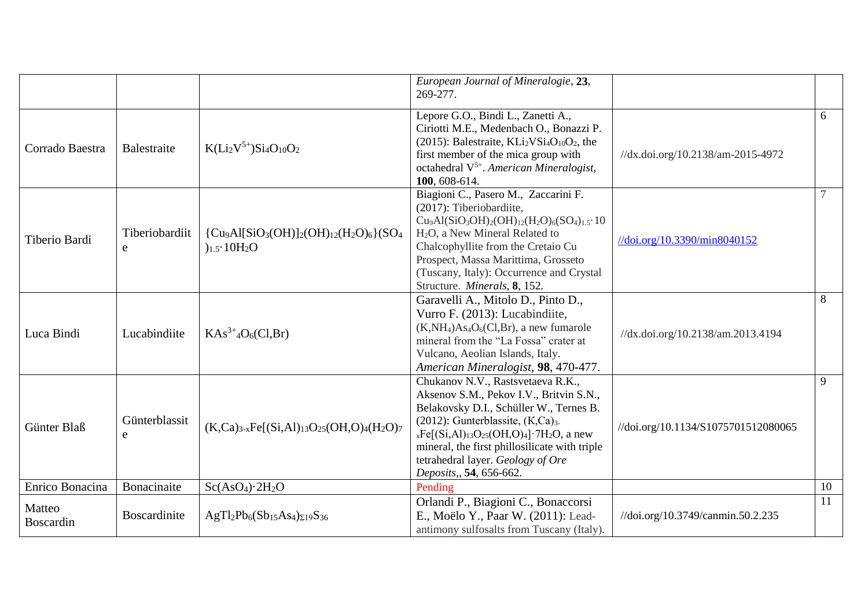|                     |                     |                                                                            | European Journal of Mineralogie, 23,<br>269-277.                                                                                                                                                                                                                                                                                                      |                                     |        |
|---------------------|---------------------|----------------------------------------------------------------------------|-------------------------------------------------------------------------------------------------------------------------------------------------------------------------------------------------------------------------------------------------------------------------------------------------------------------------------------------------------|-------------------------------------|--------|
| Corrado Baestra     | Balestraite         | $K(Li2V5+)Si4O10O2$                                                        | Lepore G.O., Bindi L., Zanetti A.,<br>Ciriotti M.E., Medenbach O., Bonazzi P.<br>(2015): Balestraite, $KLi2VSi4O10O2$ , the<br>first member of the mica group with<br>octahedral $V^{5+}$ . American Mineralogist,<br>100, 608-614.                                                                                                                   | //dx.doi.org/10.2138/am-2015-4972   | 6      |
| Tiberio Bardi       | Tiberiobardiit<br>e | ${C\mu_9Al[SiO_3(OH)]_2(OH)_{12}(H_2O)_6}{SO_4}$<br>$)_{1.5} \cdot 10H_2O$ | Biagioni C., Pasero M., Zaccarini F.<br>(2017): Tiberiobardiite,<br>$Cu_9Al(SiO_3OH)_2(OH)_{12}(H_2O)_6(SO_4)_{1.5}\cdot 10$<br>H <sub>2</sub> O, a New Mineral Related to<br>Chalcophyllite from the Cretaio Cu<br>Prospect, Massa Marittima, Grosseto<br>(Tuscany, Italy): Occurrence and Crystal<br>Structure. Minerals, 8, 152.                   | //doi.org/10.3390/min8040152        | $\tau$ |
| Luca Bindi          | Lucabindiite        | $KAs^{3+4}O_6(Cl,Br)$                                                      | Garavelli A., Mitolo D., Pinto D.,<br>Vurro F. (2013): Lucabindiite,<br>$(K, NH4) As4O6(Cl, Br)$ , a new fumarole<br>mineral from the "La Fossa" crater at<br>Vulcano, Aeolian Islands, Italy.<br>American Mineralogist, 98, 470-477.                                                                                                                 | //dx.doi.org/10.2138/am.2013.4194   | 8      |
| Günter Blaß         | Günterblassit<br>e  | $(K,Ca)_{3-x}Fe[(Si,Al)_{13}O_{25}(OH, O)_{4}(H_2O)_{7}$                   | Chukanov N.V., Rastsvetaeva R.K.,<br>Aksenov S.M., Pekov I.V., Britvin S.N.,<br>Belakovsky D.I., Schüller W., Ternes B.<br>$(2012)$ : Gunterblassite, $(K, Ca)_{3-}$<br>$_{x}Fe[(Si,Al)_{13}O_{25}(OH, O)_{4}]\cdot 7H_{2}O$ , a new<br>mineral, the first phillosilicate with triple<br>tetrahedral layer. Geology of Ore<br>Deposits,, 54, 656-662. | //doi.org/10.1134/S1075701512080065 | 9      |
| Enrico Bonacina     | Bonacinaite         | Sc(AsO <sub>4</sub> )·2H <sub>2</sub> O                                    | Pending                                                                                                                                                                                                                                                                                                                                               |                                     | 10     |
| Matteo<br>Boscardin | Boscardinite        | $AgTl_2Pb_6(Sb_{15}As_4)_{\Sigma19}S_{36}$                                 | Orlandi P., Biagioni C., Bonaccorsi<br>E., Moëlo Y., Paar W. (2011): Lead-<br>antimony sulfosalts from Tuscany (Italy).                                                                                                                                                                                                                               | //doi.org/10.3749/canmin.50.2.235   | 11     |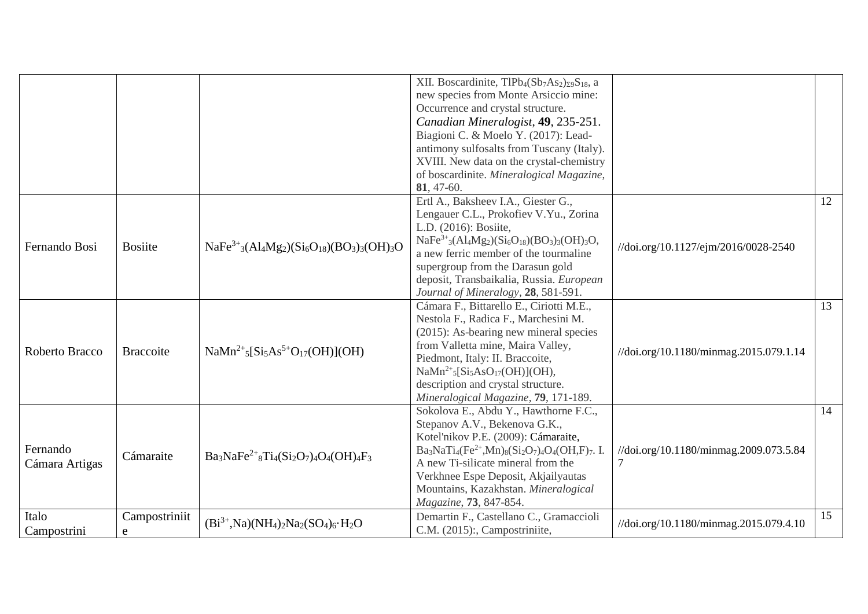|                |                  |                                                                                                                    | XII. Boscardinite, TlPb <sub>4</sub> (Sb <sub>7</sub> As <sub>2</sub> ) <sub>29</sub> S <sub>18</sub> , a |                                        |    |
|----------------|------------------|--------------------------------------------------------------------------------------------------------------------|-----------------------------------------------------------------------------------------------------------|----------------------------------------|----|
|                |                  |                                                                                                                    | new species from Monte Arsiccio mine:                                                                     |                                        |    |
|                |                  |                                                                                                                    | Occurrence and crystal structure.                                                                         |                                        |    |
|                |                  |                                                                                                                    | Canadian Mineralogist, 49, 235-251.                                                                       |                                        |    |
|                |                  |                                                                                                                    | Biagioni C. & Moelo Y. (2017): Lead-                                                                      |                                        |    |
|                |                  |                                                                                                                    | antimony sulfosalts from Tuscany (Italy).                                                                 |                                        |    |
|                |                  |                                                                                                                    | XVIII. New data on the crystal-chemistry                                                                  |                                        |    |
|                |                  |                                                                                                                    | of boscardinite. Mineralogical Magazine,                                                                  |                                        |    |
|                |                  |                                                                                                                    | 81, 47-60.                                                                                                |                                        |    |
|                |                  |                                                                                                                    | Ertl A., Baksheev I.A., Giester G.,                                                                       |                                        | 12 |
|                |                  |                                                                                                                    | Lengauer C.L., Prokofiev V.Yu., Zorina                                                                    |                                        |    |
|                |                  |                                                                                                                    | L.D. (2016): Bosiite,                                                                                     |                                        |    |
| Fernando Bosi  | <b>Bosiite</b>   | $NaFe3+3(Al4Mg2)(Si6O18)(BO3)3(OH)3O$                                                                              | $NaFe3+3(A14Mg2)(Si6O18)(BO3)3(OH)3O,$                                                                    | //doi.org/10.1127/ejm/2016/0028-2540   |    |
|                |                  |                                                                                                                    | a new ferric member of the tourmaline                                                                     |                                        |    |
|                |                  |                                                                                                                    | supergroup from the Darasun gold                                                                          |                                        |    |
|                |                  |                                                                                                                    | deposit, Transbaikalia, Russia. European                                                                  |                                        |    |
|                |                  |                                                                                                                    | Journal of Mineralogy, 28, 581-591.                                                                       |                                        |    |
|                |                  |                                                                                                                    | Cámara F., Bittarello E., Ciriotti M.E.,                                                                  |                                        | 13 |
|                |                  |                                                                                                                    | Nestola F., Radica F., Marchesini M.                                                                      |                                        |    |
|                |                  |                                                                                                                    | (2015): As-bearing new mineral species                                                                    |                                        |    |
| Roberto Bracco | <b>Braccoite</b> | $N\text{a}Mn^{2+}{}_{5}^{S}[\text{Si}_{5}\text{As}^{5+}\text{O}_{17}(\text{OH})](\text{OH})$                       | from Valletta mine, Maira Valley,                                                                         | //doi.org/10.1180/minmag.2015.079.1.14 |    |
|                |                  |                                                                                                                    | Piedmont, Italy: II. Braccoite,                                                                           |                                        |    |
|                |                  |                                                                                                                    | $N\alpha Mn^{2+}{}_{5}[Si_{5}AsO_{17}(OH)](OH),$                                                          |                                        |    |
|                |                  |                                                                                                                    | description and crystal structure.                                                                        |                                        |    |
|                |                  |                                                                                                                    | Mineralogical Magazine, 79, 171-189.                                                                      |                                        |    |
|                |                  |                                                                                                                    | Sokolova E., Abdu Y., Hawthorne F.C.,                                                                     |                                        | 14 |
|                |                  |                                                                                                                    | Stepanov A.V., Bekenova G.K.,                                                                             |                                        |    |
|                |                  |                                                                                                                    | Kotel'nikov P.E. (2009): Cámaraite,                                                                       |                                        |    |
| Fernando       | Cámaraite        | $Ba_3NaFe^{2+}{}_8Ti_4(Si_2O_7)_4O_4(OH)_4F_3$                                                                     | $Ba_3NaTi_4(Fe^{2+}, Mn)_8(Si_2O_7)_4O_4(OH,F)_7.$ I.                                                     | //doi.org/10.1180/minmag.2009.073.5.84 |    |
| Cámara Artigas |                  |                                                                                                                    | A new Ti-silicate mineral from the                                                                        |                                        |    |
|                |                  |                                                                                                                    | Verkhnee Espe Deposit, Akjailyautas                                                                       |                                        |    |
|                |                  |                                                                                                                    | Mountains, Kazakhstan. Mineralogical                                                                      |                                        |    |
|                |                  |                                                                                                                    | Magazine, 73, 847-854.                                                                                    |                                        |    |
| Italo          | Campostriniit    | $(Bi^{3+}$ , Na)(NH <sub>4</sub> ) <sub>2</sub> Na <sub>2</sub> (SO <sub>4</sub> ) <sub>6</sub> . H <sub>2</sub> O | Demartin F., Castellano C., Gramaccioli                                                                   | //doi.org/10.1180/minmag.2015.079.4.10 | 15 |
| Campostrini    | e                |                                                                                                                    | C.M. (2015):, Campostriniite,                                                                             |                                        |    |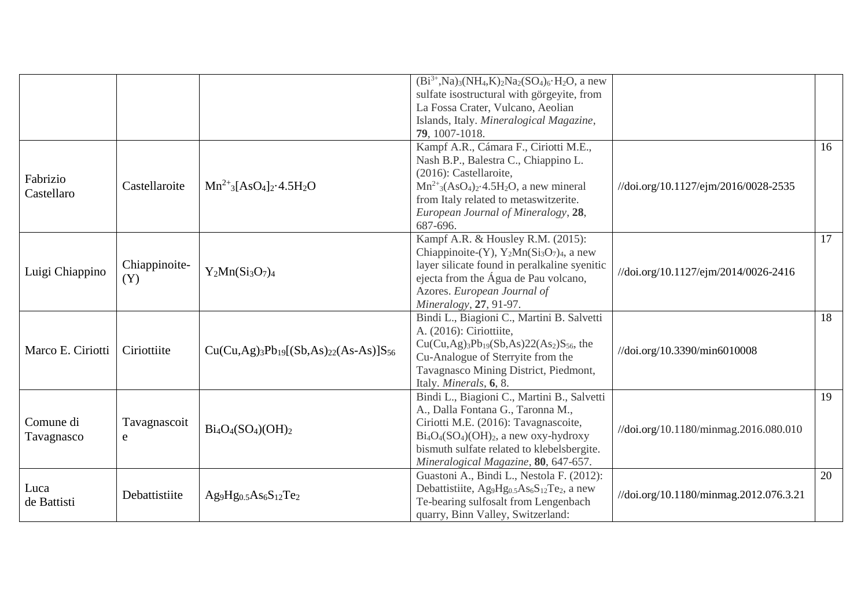|                                                                              |               |                                                                              | $(Bi^{3+},Na)_{3}(NH_4,K)_{2}Na_2(SO_4)_{6}\cdot H_2O$ , a new                              |                                        |    |
|------------------------------------------------------------------------------|---------------|------------------------------------------------------------------------------|---------------------------------------------------------------------------------------------|----------------------------------------|----|
|                                                                              |               |                                                                              | sulfate isostructural with görgeyite, from                                                  |                                        |    |
|                                                                              |               |                                                                              | La Fossa Crater, Vulcano, Aeolian                                                           |                                        |    |
|                                                                              |               |                                                                              | Islands, Italy. Mineralogical Magazine,                                                     |                                        |    |
|                                                                              |               |                                                                              | 79, 1007-1018.                                                                              |                                        |    |
|                                                                              |               |                                                                              | Kampf A.R., Cámara F., Ciriotti M.E.,                                                       |                                        | 16 |
|                                                                              |               |                                                                              | Nash B.P., Balestra C., Chiappino L.                                                        |                                        |    |
|                                                                              |               |                                                                              | (2016): Castellaroite,                                                                      |                                        |    |
|                                                                              | Castellaroite | $Mn^{2+}$ <sub>3</sub> [AsO <sub>4</sub> ] <sub>2</sub> .4.5H <sub>2</sub> O | $Mn^{2+}$ <sub>3</sub> $(AsO4)2$ $\cdot$ 4.5H <sub>2</sub> O, a new mineral                 | //doi.org/10.1127/ejm/2016/0028-2535   |    |
|                                                                              |               |                                                                              | from Italy related to metaswitzerite.                                                       |                                        |    |
|                                                                              |               |                                                                              | European Journal of Mineralogy, 28,                                                         |                                        |    |
|                                                                              |               |                                                                              | 687-696.                                                                                    |                                        |    |
|                                                                              |               |                                                                              | Kampf A.R. & Housley R.M. (2015):                                                           |                                        | 17 |
|                                                                              |               |                                                                              | Chiappinoite-(Y), $Y_2Mn(Si_3O_7)_4$ , a new                                                |                                        |    |
|                                                                              | Chiappinoite- |                                                                              | layer silicate found in peralkaline syenitic                                                |                                        |    |
|                                                                              | (Y)           | $Y_2Mn(Si_3O_7)4$                                                            | ejecta from the Água de Pau volcano,                                                        | //doi.org/10.1127/ejm/2014/0026-2416   |    |
|                                                                              |               |                                                                              | Azores. European Journal of                                                                 |                                        |    |
|                                                                              |               |                                                                              | Mineralogy, 27, 91-97.                                                                      |                                        |    |
|                                                                              |               |                                                                              | Bindi L., Biagioni C., Martini B. Salvetti                                                  |                                        | 18 |
|                                                                              |               |                                                                              | A. (2016): Ciriottiite,                                                                     |                                        |    |
|                                                                              |               |                                                                              | $Cu(Cu, Ag)_{3}Pb_{19}(Sb, As)22(As_2)S_{56}$ , the                                         |                                        |    |
|                                                                              | Ciriottiite   | $Cu(Cu, Ag)_{3}Pb_{19}[(Sb, As)_{22}(As-As)]S_{56}$                          | Cu-Analogue of Sterryite from the                                                           | //doi.org/10.3390/min6010008           |    |
|                                                                              |               |                                                                              | Tavagnasco Mining District, Piedmont,                                                       |                                        |    |
| Fabrizio<br>Castellaro<br>Luigi Chiappino<br>Marco E. Ciriotti<br>Tavagnasco |               |                                                                              | Italy. Minerals, 6, 8.                                                                      |                                        |    |
|                                                                              |               |                                                                              | Bindi L., Biagioni C., Martini B., Salvetti                                                 |                                        | 19 |
|                                                                              |               |                                                                              | A., Dalla Fontana G., Taronna M.,                                                           |                                        |    |
| Comune di                                                                    | Tavagnascoit  | $Bi_4O_4(SO_4)(OH)_2$                                                        | Ciriotti M.E. (2016): Tavagnascoite,                                                        |                                        |    |
|                                                                              | e             |                                                                              | $Bi_4O_4(SO_4)(OH)_2$ , a new oxy-hydroxy                                                   | //doi.org/10.1180/minmag.2016.080.010  |    |
|                                                                              |               |                                                                              | bismuth sulfate related to klebelsbergite.                                                  |                                        |    |
|                                                                              |               |                                                                              | Mineralogical Magazine, 80, 647-657.                                                        |                                        |    |
|                                                                              |               |                                                                              | Guastoni A., Bindi L., Nestola F. (2012):                                                   |                                        | 20 |
| Luca                                                                         | Debattistiite |                                                                              | Debattistiite, Ag9Hg <sub>0.5</sub> As <sub>6</sub> S <sub>12</sub> Te <sub>2</sub> , a new | //doi.org/10.1180/minmag.2012.076.3.21 |    |
| de Battisti                                                                  |               | $Ag9Hg0.5As6S12Te2$                                                          | Te-bearing sulfosalt from Lengenbach                                                        |                                        |    |
|                                                                              |               |                                                                              | quarry, Binn Valley, Switzerland:                                                           |                                        |    |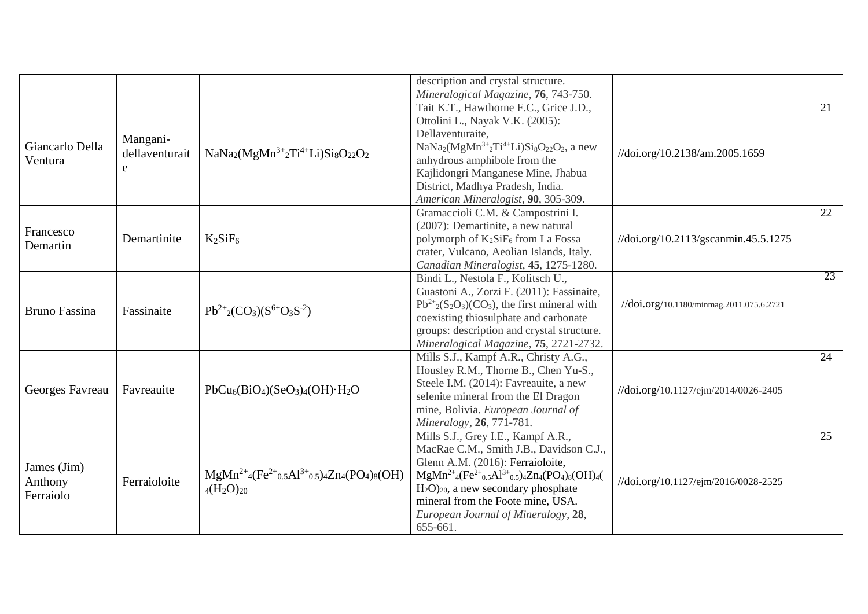|                      |                |                                                                                                                                                        | description and crystal structure.                                               |                                                     |                 |
|----------------------|----------------|--------------------------------------------------------------------------------------------------------------------------------------------------------|----------------------------------------------------------------------------------|-----------------------------------------------------|-----------------|
|                      |                |                                                                                                                                                        | Mineralogical Magazine, 76, 743-750.                                             |                                                     |                 |
|                      |                |                                                                                                                                                        | Tait K.T., Hawthorne F.C., Grice J.D.,                                           |                                                     | 21              |
|                      |                |                                                                                                                                                        | Ottolini L., Nayak V.K. (2005):                                                  |                                                     |                 |
|                      | Mangani-       |                                                                                                                                                        | Dellaventuraite,                                                                 |                                                     |                 |
| Giancarlo Della      | dellaventurait | $NaNa2(MgMn3+2Ti4+Li)Si8O22O2$                                                                                                                         | $NaNa2(MgMn3+2Ti4+Li)Si8O22O2$ , a new                                           |                                                     |                 |
| Ventura              |                |                                                                                                                                                        | anhydrous amphibole from the                                                     | //doi.org/10.2138/am.2005.1659                      |                 |
|                      | e              |                                                                                                                                                        | Kajlidongri Manganese Mine, Jhabua                                               |                                                     |                 |
|                      |                |                                                                                                                                                        | District, Madhya Pradesh, India.                                                 |                                                     |                 |
|                      |                |                                                                                                                                                        | American Mineralogist, 90, 305-309.                                              |                                                     |                 |
|                      |                |                                                                                                                                                        | Gramaccioli C.M. & Campostrini I.                                                |                                                     | 22              |
|                      |                |                                                                                                                                                        | (2007): Demartinite, a new natural                                               |                                                     |                 |
| Francesco            | Demartinite    | $K_2SiF_6$                                                                                                                                             | polymorph of K <sub>2</sub> SiF <sub>6</sub> from La Fossa                       | $\frac{1}{\dot{a}}$ .org/10.2113/gscanmin.45.5.1275 |                 |
| Demartin             |                |                                                                                                                                                        | crater, Vulcano, Aeolian Islands, Italy.                                         |                                                     |                 |
|                      |                |                                                                                                                                                        | Canadian Mineralogist, 45, 1275-1280.                                            |                                                     |                 |
|                      |                |                                                                                                                                                        | Bindi L., Nestola F., Kolitsch U.,                                               |                                                     | 23              |
|                      |                |                                                                                                                                                        | Guastoni A., Zorzi F. (2011): Fassinaite,                                        |                                                     |                 |
| <b>Bruno Fassina</b> | Fassinaite     | $Pb^{2+}{}_{2}(CO_{3})(S^{6+}O_{3}S^{-2})$                                                                                                             | $Pb^{2+}(S_2O_3)(CO_3)$ , the first mineral with                                 | //doi.org/10.1180/minmag.2011.075.6.2721            |                 |
|                      |                |                                                                                                                                                        | coexisting thiosulphate and carbonate                                            |                                                     |                 |
|                      |                |                                                                                                                                                        | groups: description and crystal structure.                                       |                                                     |                 |
|                      |                |                                                                                                                                                        | Mineralogical Magazine, 75, 2721-2732.                                           |                                                     |                 |
|                      |                |                                                                                                                                                        | Mills S.J., Kampf A.R., Christy A.G.,                                            |                                                     | 24              |
|                      |                |                                                                                                                                                        | Housley R.M., Thorne B., Chen Yu-S.,                                             |                                                     |                 |
|                      |                |                                                                                                                                                        | Steele I.M. (2014): Favreauite, a new                                            |                                                     |                 |
| Georges Favreau      | Favreauite     | $PbCu6(BiO4)(SeO3)4(OH)·H2O$                                                                                                                           | selenite mineral from the El Dragon                                              | //doi.org/10.1127/ejm/2014/0026-2405                |                 |
|                      |                |                                                                                                                                                        | mine, Bolivia. European Journal of                                               |                                                     |                 |
|                      |                |                                                                                                                                                        | Mineralogy, 26, 771-781.                                                         |                                                     |                 |
|                      |                |                                                                                                                                                        | Mills S.J., Grey I.E., Kampf A.R.,                                               |                                                     | $\overline{25}$ |
|                      |                |                                                                                                                                                        | MacRae C.M., Smith J.B., Davidson C.J.,                                          |                                                     |                 |
| James (Jim)          |                |                                                                                                                                                        | Glenn A.M. (2016): Ferraioloite,                                                 |                                                     |                 |
|                      |                | $MgMn^{2+}{}_{4}$ (Fe <sup>2+</sup> <sub>0.5</sub> Al <sup>3+</sup> <sub>0.5</sub> ) <sub>4</sub> Zn <sub>4</sub> (PO <sub>4</sub> ) <sub>8</sub> (OH) | $MgMn^{2+}{}_{4}(Fe^{2+}{}_{0.5}Al^{3+}{}_{0.5}){}_{4}Zn_{4}(PO_4)_{8}(OH)_{4}($ |                                                     |                 |
| Anthony              | Ferraioloite   | $_4(H_2O)_{20}$                                                                                                                                        | $H_2O_{20}$ , a new secondary phosphate                                          | //doi.org/10.1127/ejm/2016/0028-2525                |                 |
| Ferraiolo            |                |                                                                                                                                                        | mineral from the Foote mine, USA.                                                |                                                     |                 |
|                      |                |                                                                                                                                                        | European Journal of Mineralogy, 28,                                              |                                                     |                 |
|                      |                |                                                                                                                                                        | 655-661.                                                                         |                                                     |                 |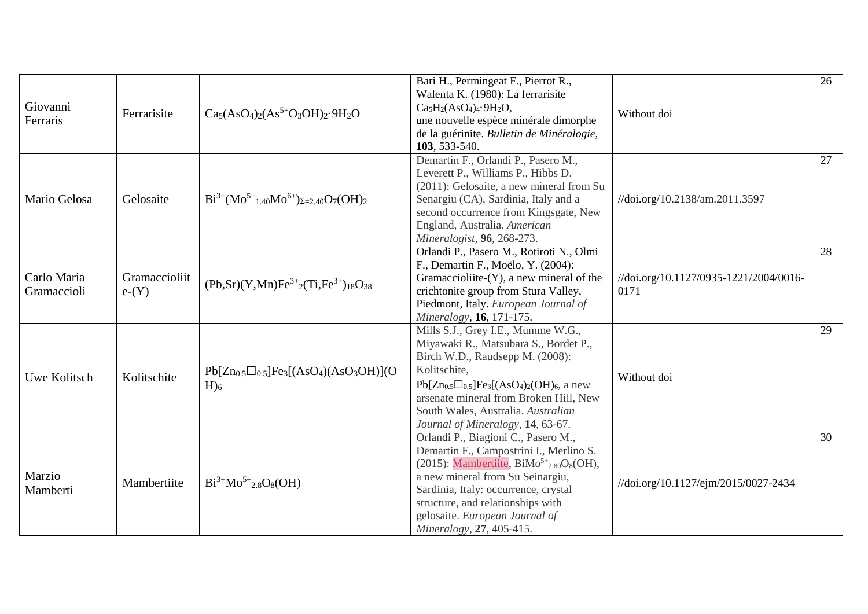| Giovanni<br>Ferraris       | Ferrarisite              | $Ca5(AsO4)2(As5+O3OH)2·9H2O$                             | Bari H., Permingeat F., Pierrot R.,<br>Walenta K. (1980): La ferrarisite<br>$Ca5H2(AsO4)4·9H2O,$<br>une nouvelle espèce minérale dimorphe<br>de la guérinite. Bulletin de Minéralogie,<br>103, 533-540.                                                                                                           | Without doi                                    | 26 |
|----------------------------|--------------------------|----------------------------------------------------------|-------------------------------------------------------------------------------------------------------------------------------------------------------------------------------------------------------------------------------------------------------------------------------------------------------------------|------------------------------------------------|----|
| Mario Gelosa               | Gelosaite                | $Bi^{3+}(Mo^{5+}_{1.40}Mo^{6+})_{\Sigma=2.40}O_7(OH)_2$  | Demartin F., Orlandi P., Pasero M.,<br>Leverett P., Williams P., Hibbs D.<br>(2011): Gelosaite, a new mineral from Su<br>Senargiu (CA), Sardinia, Italy and a<br>second occurrence from Kingsgate, New<br>England, Australia. American<br>Mineralogist, 96, 268-273.                                              | //doi.org/10.2138/am.2011.3597                 | 27 |
| Carlo Maria<br>Gramaccioli | Gramaccioliit<br>$e-(Y)$ | $(Pb, Sr)(Y, Mn)Fe3+2(Ti, Fe3+)18O38$                    | Orlandi P., Pasero M., Rotiroti N., Olmi<br>F., Demartin F., Moëlo, Y. (2004):<br>Gramaccioliite- $(Y)$ , a new mineral of the<br>crichtonite group from Stura Valley,<br>Piedmont, Italy. European Journal of<br>Mineralogy, 16, 171-175.                                                                        | //doi.org/10.1127/0935-1221/2004/0016-<br>0171 | 28 |
| Uwe Kolitsch               | Kolitschite              | $Pb[Zn_{0.5}]Fe_3[(AsO4)(AsO3OH)](O$<br>$H$ <sub>6</sub> | Mills S.J., Grey I.E., Mumme W.G.,<br>Miyawaki R., Matsubara S., Bordet P.,<br>Birch W.D., Raudsepp M. (2008):<br>Kolitschite,<br>$Pb[Zn_{0.5}\Box_{0.5}]Fe_3[(AsO_4)_2(OH)_6,$ a new<br>arsenate mineral from Broken Hill, New<br>South Wales, Australia. Australian<br>Journal of Mineralogy, 14, 63-67.        | Without doi                                    | 29 |
| Marzio<br>Mamberti         | Mambertiite              | $Bi^{3+}Mo^{5+}{}_{2.8}O_8(OH)$                          | Orlandi P., Biagioni C., Pasero M.,<br>Demartin F., Campostrini I., Merlino S.<br>(2015): Mambertiite, $BiMo^{5+}_{2.80}O_8(OH)$ ,<br>a new mineral from Su Seinargiu,<br>Sardinia, Italy: occurrence, crystal<br>structure, and relationships with<br>gelosaite. European Journal of<br>Mineralogy, 27, 405-415. | //doi.org/10.1127/ejm/2015/0027-2434           | 30 |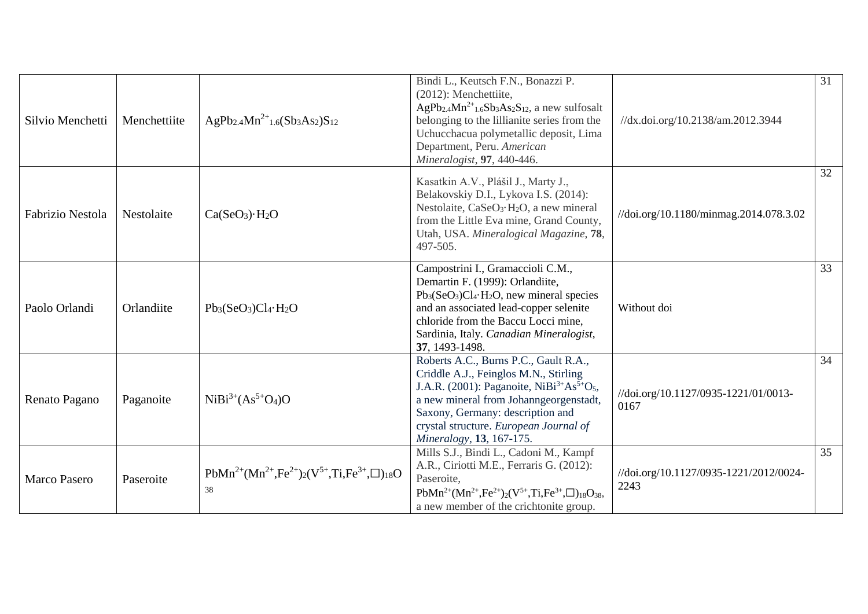| Silvio Menchetti        | Menchettiite | AgPb <sub>2.4</sub> Mn <sup>2+</sup> <sub>1.6</sub> (Sb <sub>3</sub> As <sub>2</sub> )S <sub>12</sub> | Bindi L., Keutsch F.N., Bonazzi P.<br>(2012): Menchettiite,<br>$AgPb_{2.4}Mn^{2+}$ <sub>1.6</sub> Sb <sub>3</sub> As <sub>2</sub> S <sub>12</sub> , a new sulfosalt<br>belonging to the lillianite series from the<br>Uchucchacua polymetallic deposit, Lima<br>Department, Peru. American                           | //dx.doi.org/10.2138/am.2012.3944              | 31 |
|-------------------------|--------------|-------------------------------------------------------------------------------------------------------|----------------------------------------------------------------------------------------------------------------------------------------------------------------------------------------------------------------------------------------------------------------------------------------------------------------------|------------------------------------------------|----|
|                         |              |                                                                                                       | Mineralogist, 97, 440-446.<br>Kasatkin A.V., Plášil J., Marty J.,<br>Belakovskiy D.I., Lykova I.S. (2014):<br>Nestolaite, CaSeO <sub>3</sub> ·H <sub>2</sub> O, a new mineral                                                                                                                                        |                                                | 32 |
| <b>Fabrizio Nestola</b> | Nestolaite   | Ca(SeO <sub>3</sub> )·H <sub>2</sub> O                                                                | from the Little Eva mine, Grand County,<br>Utah, USA. Mineralogical Magazine, 78,<br>497-505.                                                                                                                                                                                                                        | //doi.org/10.1180/minmag.2014.078.3.02         |    |
| Paolo Orlandi           | Orlandiite   | $Pb_3(SeO_3)Cl_4·H_2O$                                                                                | Campostrini I., Gramaccioli C.M.,<br>Demartin F. (1999): Orlandiite,<br>$Pb_3(SeO_3)Cl_4·H_2O$ , new mineral species<br>and an associated lead-copper selenite<br>chloride from the Baccu Locci mine,<br>Sardinia, Italy. Canadian Mineralogist,<br>37, 1493-1498.                                                   | Without doi                                    | 33 |
| Renato Pagano           | Paganoite    | $NiBi3+(As5+O4)O$                                                                                     | Roberts A.C., Burns P.C., Gault R.A.,<br>Criddle A.J., Feinglos M.N., Stirling<br>J.A.R. (2001): Paganoite, NiBi <sup>3+</sup> As <sup>5+</sup> O <sub>5</sub> ,<br>a new mineral from Johanngeorgenstadt,<br>Saxony, Germany: description and<br>crystal structure. European Journal of<br>Mineralogy, 13, 167-175. | //doi.org/10.1127/0935-1221/01/0013-<br>0167   | 34 |
| <b>Marco Pasero</b>     | Paseroite    | $PbMn^{2+}(Mn^{2+},Fe^{2+})_{2}(V^{5+},Ti,Fe^{3+},\Box)_{18}O$<br>38                                  | Mills S.J., Bindi L., Cadoni M., Kampf<br>A.R., Ciriotti M.E., Ferraris G. (2012):<br>Paseroite.<br>$PbMn^{2+}(Mn^{2+},Fe^{2+})_{2}(V^{5+},Ti,Fe^{3+},\Box)_{18}O_{38},$<br>a new member of the crichtonite group.                                                                                                   | //doi.org/10.1127/0935-1221/2012/0024-<br>2243 | 35 |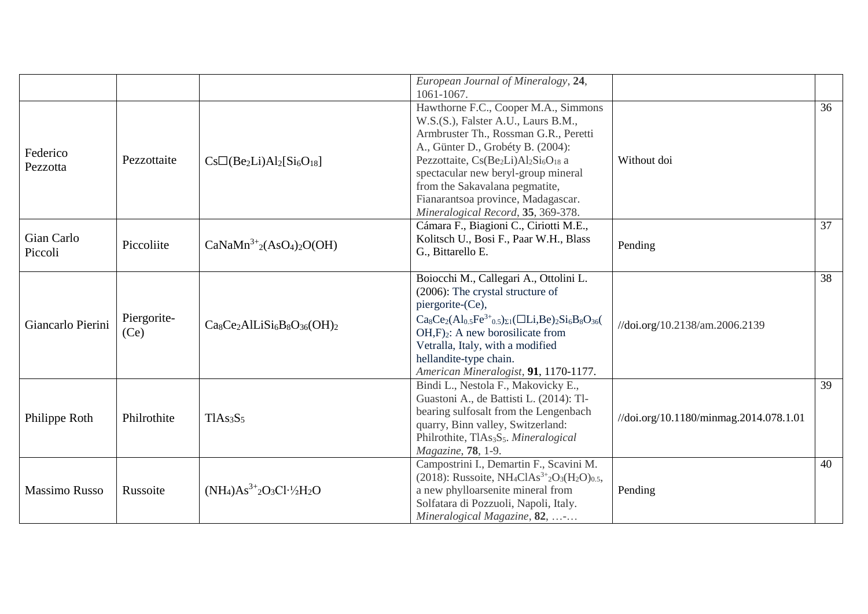|                      |             |                                   | European Journal of Mineralogy, 24,                                                                                  |                                        |    |
|----------------------|-------------|-----------------------------------|----------------------------------------------------------------------------------------------------------------------|----------------------------------------|----|
|                      |             |                                   | 1061-1067.                                                                                                           |                                        | 36 |
|                      |             |                                   | Hawthorne F.C., Cooper M.A., Simmons                                                                                 |                                        |    |
|                      |             |                                   | W.S.(S.), Falster A.U., Laurs B.M.,                                                                                  |                                        |    |
|                      |             |                                   | Armbruster Th., Rossman G.R., Peretti                                                                                |                                        |    |
| Federico             |             |                                   | A., Günter D., Grobéty B. (2004):                                                                                    |                                        |    |
| Pezzotta             | Pezzottaite | $Cs\Box(Be_2Li)Al_2[Si_6O_{18}]$  | Pezzottaite, Cs(Be2Li)Al2Si <sub>6</sub> O <sub>18</sub> a                                                           | Without doi                            |    |
|                      |             |                                   | spectacular new beryl-group mineral                                                                                  |                                        |    |
|                      |             |                                   | from the Sakavalana pegmatite,                                                                                       |                                        |    |
|                      |             |                                   | Fianarantsoa province, Madagascar.                                                                                   |                                        |    |
|                      |             |                                   | Mineralogical Record, 35, 369-378.                                                                                   |                                        |    |
|                      |             |                                   | Cámara F., Biagioni C., Ciriotti M.E.,                                                                               |                                        | 37 |
| Gian Carlo           | Piccoliite  | $CaNaMn3+2(AsO4)2O(OH)$           | Kolitsch U., Bosi F., Paar W.H., Blass                                                                               | Pending                                |    |
| Piccoli              |             |                                   | G., Bittarello E.                                                                                                    |                                        |    |
|                      |             |                                   | Boiocchi M., Callegari A., Ottolini L.                                                                               |                                        | 38 |
|                      |             |                                   | (2006): The crystal structure of                                                                                     |                                        |    |
|                      |             |                                   | piergorite-(Ce),                                                                                                     |                                        |    |
|                      |             |                                   |                                                                                                                      |                                        |    |
| Giancarlo Pierini    | Piergorite- | $Ca_8Ce_2AlLiSi_6B_8O_{36}(OH)_2$ | $Ca_8Ce_2(Al_{0.5}Fe^{3+}_{0.5})_{\Sigma1}(\Box Li, Be)_{2}Si_6B_8O_{36}$                                            | //doi.org/10.2138/am.2006.2139         |    |
|                      | (Ce)        |                                   | $OH,F2$ : A new borosilicate from                                                                                    |                                        |    |
|                      |             |                                   | Vetralla, Italy, with a modified                                                                                     |                                        |    |
|                      |             |                                   | hellandite-type chain.                                                                                               |                                        |    |
|                      |             |                                   | American Mineralogist, 91, 1170-1177.                                                                                |                                        |    |
|                      |             |                                   | Bindi L., Nestola F., Makovicky E.,                                                                                  |                                        | 39 |
|                      |             |                                   | Guastoni A., de Battisti L. (2014): Tl-                                                                              |                                        |    |
| Philippe Roth        | Philrothite | TIAs <sub>3</sub> S <sub>5</sub>  | bearing sulfosalt from the Lengenbach                                                                                | //doi.org/10.1180/minmag.2014.078.1.01 |    |
|                      |             |                                   | quarry, Binn valley, Switzerland:                                                                                    |                                        |    |
|                      |             |                                   | Philrothite, TlAs <sub>3</sub> S <sub>5</sub> . Mineralogical                                                        |                                        |    |
|                      |             |                                   | Magazine, 78, 1-9.                                                                                                   |                                        |    |
|                      |             |                                   | Campostrini I., Demartin F., Scavini M.                                                                              |                                        | 40 |
|                      |             |                                   | (2018): Russoite, NH <sub>4</sub> ClAs <sup>3+</sup> <sub>2</sub> O <sub>3</sub> (H <sub>2</sub> O) <sub>0.5</sub> , |                                        |    |
| <b>Massimo Russo</b> | Russoite    | $(NH_4)As^{3+}2O_3Cl^{1/}2H_2O$   | a new phylloarsenite mineral from                                                                                    | Pending                                |    |
|                      |             |                                   | Solfatara di Pozzuoli, Napoli, Italy.                                                                                |                                        |    |
|                      |             |                                   | Mineralogical Magazine, 82, -                                                                                        |                                        |    |